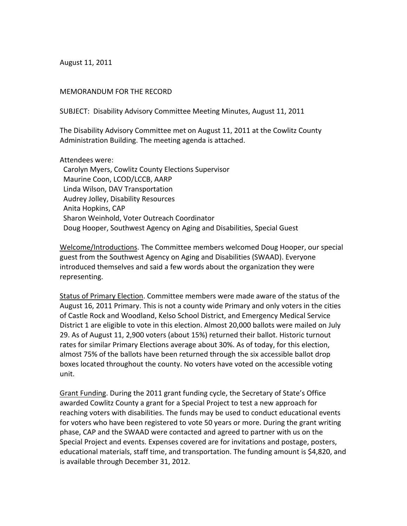August 11, 2011

## MEMORANDUM FOR THE RECORD

SUBJECT: Disability Advisory Committee Meeting Minutes, August 11, 2011

The Disability Advisory Committee met on August 11, 2011 at the Cowlitz County Administration Building. The meeting agenda is attached.

## Attendees were:

 Carolyn Myers, Cowlitz County Elections Supervisor Maurine Coon, LCOD/LCCB, AARP Linda Wilson, DAV Transportation Audrey Jolley, Disability Resources Anita Hopkins, CAP Sharon Weinhold, Voter Outreach Coordinator Doug Hooper, Southwest Agency on Aging and Disabilities, Special Guest

Welcome/Introductions. The Committee members welcomed Doug Hooper, our special guest from the Southwest Agency on Aging and Disabilities (SWAAD). Everyone introduced themselves and said a few words about the organization they were representing.

Status of Primary Election. Committee members were made aware of the status of the August 16, 2011 Primary. This is not a county wide Primary and only voters in the cities of Castle Rock and Woodland, Kelso School District, and Emergency Medical Service District 1 are eligible to vote in this election. Almost 20,000 ballots were mailed on July 29. As of August 11, 2,900 voters (about 15%) returned their ballot. Historic turnout rates for similar Primary Elections average about 30%. As of today, for this election, almost 75% of the ballots have been returned through the six accessible ballot drop boxes located throughout the county. No voters have voted on the accessible voting unit.

Grant Funding. During the 2011 grant funding cycle, the Secretary of State's Office awarded Cowlitz County a grant for a Special Project to test a new approach for reaching voters with disabilities. The funds may be used to conduct educational events for voters who have been registered to vote 50 years or more. During the grant writing phase, CAP and the SWAAD were contacted and agreed to partner with us on the Special Project and events. Expenses covered are for invitations and postage, posters, educational materials, staff time, and transportation. The funding amount is \$4,820, and is available through December 31, 2012.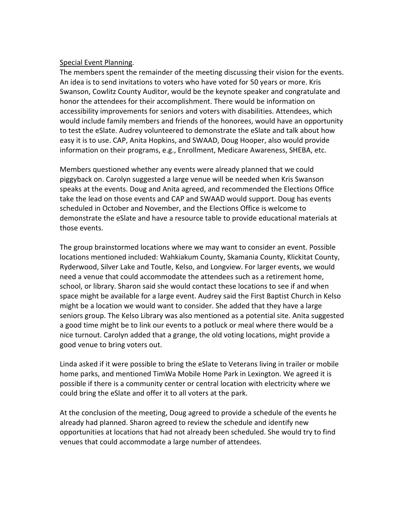## Special Event Planning.

The members spent the remainder of the meeting discussing their vision for the events. An idea is to send invitations to voters who have voted for 50 years or more. Kris Swanson, Cowlitz County Auditor, would be the keynote speaker and congratulate and honor the attendees for their accomplishment. There would be information on accessibility improvements for seniors and voters with disabilities. Attendees, which would include family members and friends of the honorees, would have an opportunity to test the eSlate. Audrey volunteered to demonstrate the eSlate and talk about how easy it is to use. CAP, Anita Hopkins, and SWAAD, Doug Hooper, also would provide information on their programs, e.g., Enrollment, Medicare Awareness, SHEBA, etc.

Members questioned whether any events were already planned that we could piggyback on. Carolyn suggested a large venue will be needed when Kris Swanson speaks at the events. Doug and Anita agreed, and recommended the Elections Office take the lead on those events and CAP and SWAAD would support. Doug has events scheduled in October and November, and the Elections Office is welcome to demonstrate the eSlate and have a resource table to provide educational materials at those events.

The group brainstormed locations where we may want to consider an event. Possible locations mentioned included: Wahkiakum County, Skamania County, Klickitat County, Ryderwood, Silver Lake and Toutle, Kelso, and Longview. For larger events, we would need a venue that could accommodate the attendees such as a retirement home, school, or library. Sharon said she would contact these locations to see if and when space might be available for a large event. Audrey said the First Baptist Church in Kelso might be a location we would want to consider. She added that they have a large seniors group. The Kelso Library was also mentioned as a potential site. Anita suggested a good time might be to link our events to a potluck or meal where there would be a nice turnout. Carolyn added that a grange, the old voting locations, might provide a good venue to bring voters out.

Linda asked if it were possible to bring the eSlate to Veterans living in trailer or mobile home parks, and mentioned TimWa Mobile Home Park in Lexington. We agreed it is possible if there is a community center or central location with electricity where we could bring the eSlate and offer it to all voters at the park.

At the conclusion of the meeting, Doug agreed to provide a schedule of the events he already had planned. Sharon agreed to review the schedule and identify new opportunities at locations that had not already been scheduled. She would try to find venues that could accommodate a large number of attendees.